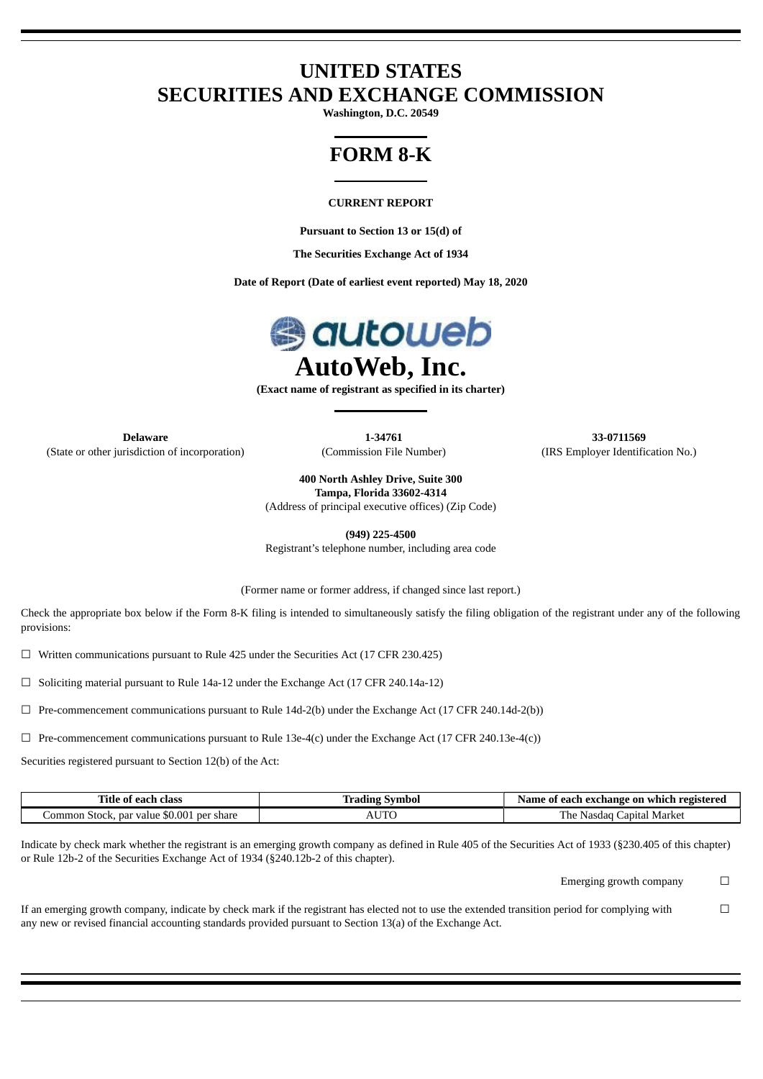# **UNITED STATES SECURITIES AND EXCHANGE COMMISSION**

**Washington, D.C. 20549**

# **FORM 8-K**

#### **CURRENT REPORT**

**Pursuant to Section 13 or 15(d) of**

**The Securities Exchange Act of 1934**

**Date of Report (Date of earliest event reported) May 18, 2020**



**(Exact name of registrant as specified in its charter)**

**Delaware 1-34761 33-0711569** (State or other jurisdiction of incorporation) (Commission File Number) (IRS Employer Identification No.)

**400 North Ashley Drive, Suite 300 Tampa, Florida 33602-4314**

(Address of principal executive offices) (Zip Code)

**(949) 225-4500**

Registrant's telephone number, including area code

(Former name or former address, if changed since last report.)

Check the appropriate box below if the Form 8-K filing is intended to simultaneously satisfy the filing obligation of the registrant under any of the following provisions:

 $\Box$  Written communications pursuant to Rule 425 under the Securities Act (17 CFR 230.425)

 $\Box$  Soliciting material pursuant to Rule 14a-12 under the Exchange Act (17 CFR 240.14a-12)

 $\Box$  Pre-commencement communications pursuant to Rule 14d-2(b) under the Exchange Act (17 CFR 240.14d-2(b))

 $\Box$  Pre-commencement communications pursuant to Rule 13e-4(c) under the Exchange Act (17 CFR 240.13e-4(c))

Securities registered pursuant to Section 12(b) of the Act:

| ïtle<br>class<br>each<br>-01                                            | nbol<br>w | registered<br>ı exchange on which<br>Name<br>-each-<br>01         |
|-------------------------------------------------------------------------|-----------|-------------------------------------------------------------------|
| $0.00^{\circ}$<br>par value<br>per share<br>om<br>ımon<br>Stock<br>$-n$ |           | $\overline{\phantom{a}}$<br>Market<br>. vasdad i<br>he<br>apıtal. |

Indicate by check mark whether the registrant is an emerging growth company as defined in Rule 405 of the Securities Act of 1933 (§230.405 of this chapter) or Rule 12b-2 of the Securities Exchange Act of 1934 (§240.12b-2 of this chapter).

Emerging growth company  $\Box$ 

If an emerging growth company, indicate by check mark if the registrant has elected not to use the extended transition period for complying with any new or revised financial accounting standards provided pursuant to Section 13(a) of the Exchange Act.  $\Box$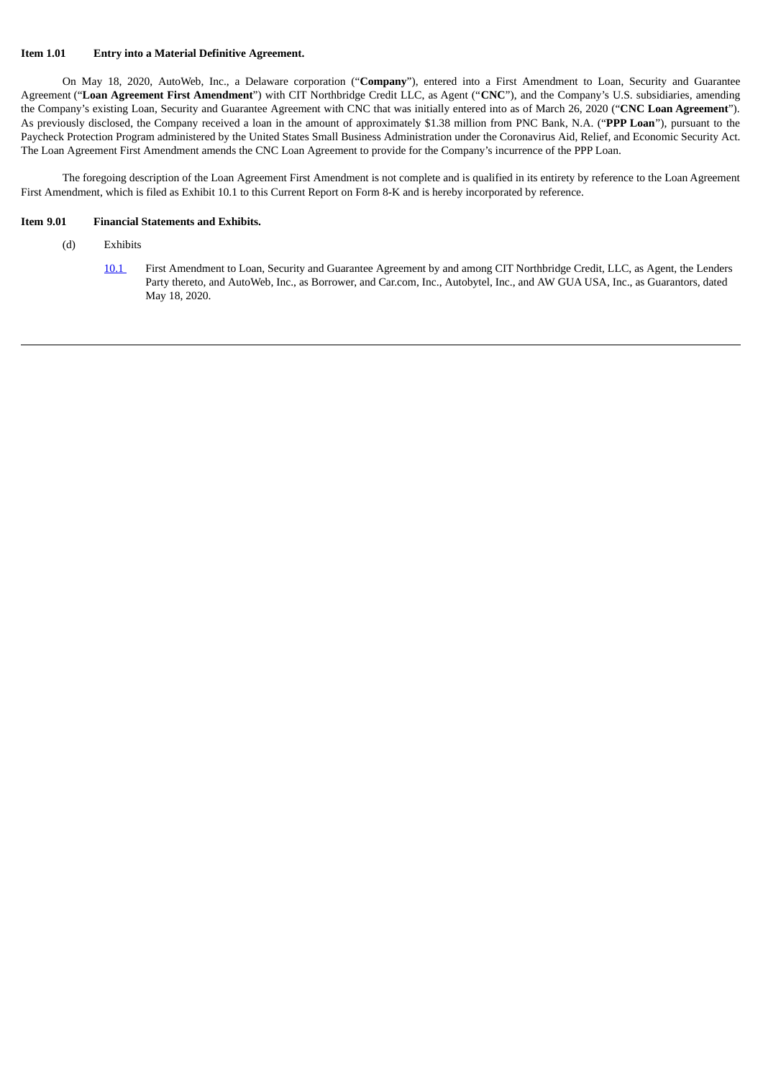#### **Item 1.01 Entry into a Material Definitive Agreement.**

On May 18, 2020, AutoWeb, Inc., a Delaware corporation ("**Company**"), entered into a First Amendment to Loan, Security and Guarantee Agreement ("**Loan Agreement First Amendment**") with CIT Northbridge Credit LLC, as Agent ("**CNC**"), and the Company's U.S. subsidiaries, amending the Company's existing Loan, Security and Guarantee Agreement with CNC that was initially entered into as of March 26, 2020 ("**CNC Loan Agreement**"). As previously disclosed, the Company received a loan in the amount of approximately \$1.38 million from PNC Bank, N.A. ("**PPP Loan**"), pursuant to the Paycheck Protection Program administered by the United States Small Business Administration under the Coronavirus Aid, Relief, and Economic Security Act. The Loan Agreement First Amendment amends the CNC Loan Agreement to provide for the Company's incurrence of the PPP Loan.

The foregoing description of the Loan Agreement First Amendment is not complete and is qualified in its entirety by reference to the Loan Agreement First Amendment, which is filed as Exhibit 10.1 to this Current Report on Form 8-K and is hereby incorporated by reference.

#### **Item 9.01 Financial Statements and Exhibits.**

- (d) Exhibits
	- [10.1](#page-3-0) First Amendment to Loan, Security and Guarantee Agreement by and among CIT Northbridge Credit, LLC, as Agent, the Lenders Party thereto, and AutoWeb, Inc., as Borrower, and Car.com, Inc., Autobytel, Inc., and AW GUA USA, Inc., as Guarantors, dated May 18, 2020.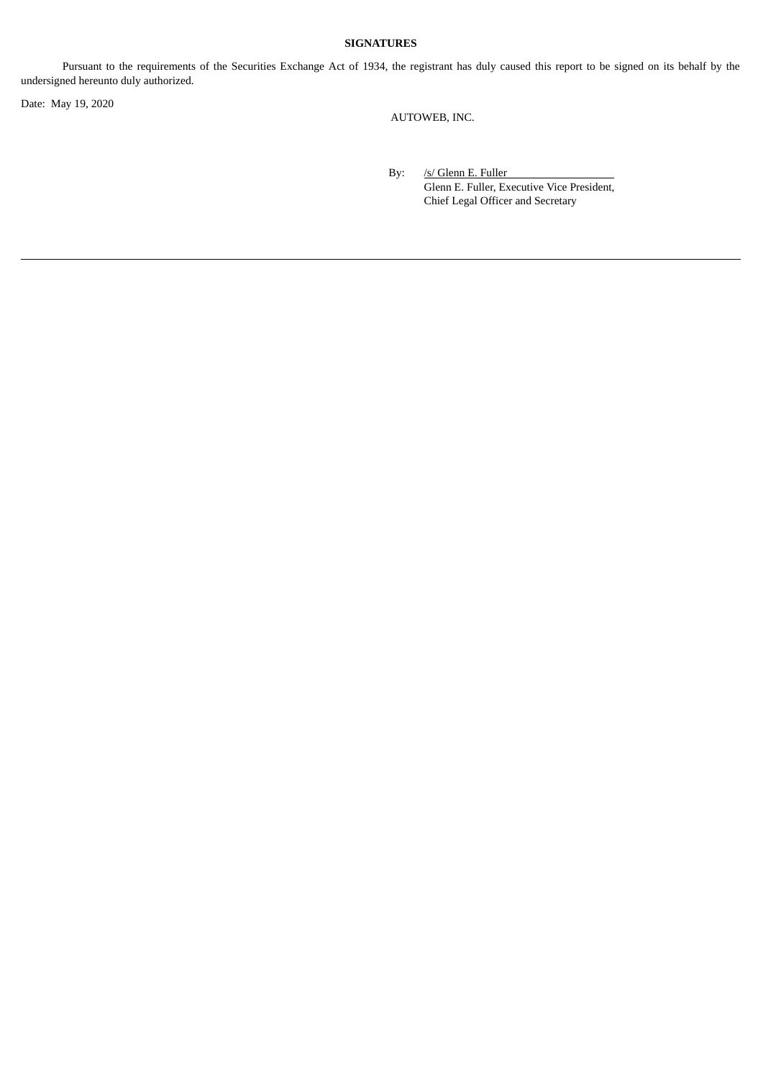## **SIGNATURES**

Pursuant to the requirements of the Securities Exchange Act of 1934, the registrant has duly caused this report to be signed on its behalf by the undersigned hereunto duly authorized.

Date: May 19, 2020

AUTOWEB, INC.

By: /s/ Glenn E. Fuller Glenn E. Fuller, Executive Vice President, Chief Legal Officer and Secretary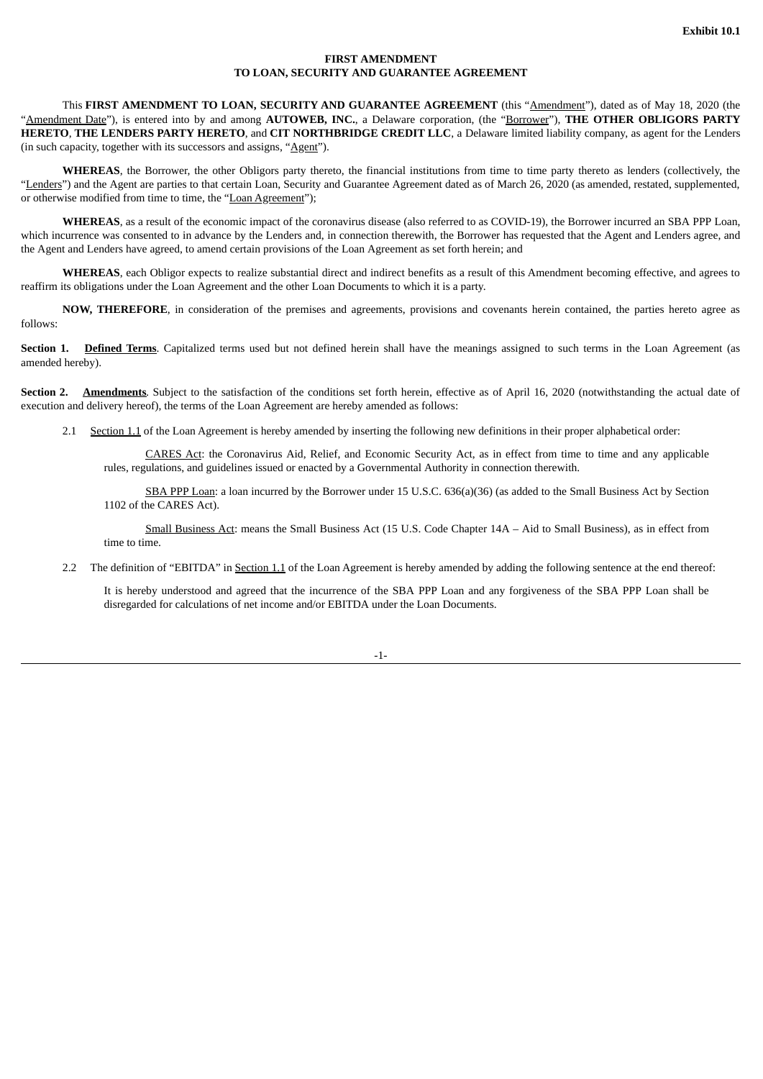### **FIRST AMENDMENT TO LOAN, SECURITY AND GUARANTEE AGREEMENT**

<span id="page-3-0"></span>This **FIRST AMENDMENT TO LOAN, SECURITY AND GUARANTEE AGREEMENT** (this "Amendment"), dated as of May 18, 2020 (the "Amendment Date"), is entered into by and among **AUTOWEB, INC.**, a Delaware corporation, (the "Borrower"), **THE OTHER OBLIGORS PARTY HERETO**, **THE LENDERS PARTY HERETO**, and **CIT NORTHBRIDGE CREDIT LLC**, a Delaware limited liability company, as agent for the Lenders (in such capacity, together with its successors and assigns, " $\underline{Agent}$ ").

**WHEREAS**, the Borrower, the other Obligors party thereto, the financial institutions from time to time party thereto as lenders (collectively, the "Lenders") and the Agent are parties to that certain Loan, Security and Guarantee Agreement dated as of March 26, 2020 (as amended, restated, supplemented, or otherwise modified from time to time, the "Loan Agreement");

**WHEREAS**, as a result of the economic impact of the coronavirus disease (also referred to as COVID-19), the Borrower incurred an SBA PPP Loan, which incurrence was consented to in advance by the Lenders and, in connection therewith, the Borrower has requested that the Agent and Lenders agree, and the Agent and Lenders have agreed, to amend certain provisions of the Loan Agreement as set forth herein; and

**WHEREAS**, each Obligor expects to realize substantial direct and indirect benefits as a result of this Amendment becoming effective, and agrees to reaffirm its obligations under the Loan Agreement and the other Loan Documents to which it is a party.

**NOW, THEREFORE**, in consideration of the premises and agreements, provisions and covenants herein contained, the parties hereto agree as follows:

**Section 1. Defined Terms**. Capitalized terms used but not defined herein shall have the meanings assigned to such terms in the Loan Agreement (as amended hereby).

**Section 2. Amendments***.* Subject to the satisfaction of the conditions set forth herein, effective as of April 16, 2020 (notwithstanding the actual date of execution and delivery hereof), the terms of the Loan Agreement are hereby amended as follows:

2.1 Section 1.1 of the Loan Agreement is hereby amended by inserting the following new definitions in their proper alphabetical order:

CARES Act: the Coronavirus Aid, Relief, and Economic Security Act, as in effect from time to time and any applicable rules, regulations, and guidelines issued or enacted by a Governmental Authority in connection therewith.

SBA PPP Loan: a loan incurred by the Borrower under 15 U.S.C. 636(a)(36) (as added to the Small Business Act by Section 1102 of the CARES Act).

Small Business Act: means the Small Business Act (15 U.S. Code Chapter 14A – Aid to Small Business), as in effect from time to time.

2.2 The definition of "EBITDA" in Section 1.1 of the Loan Agreement is hereby amended by adding the following sentence at the end thereof:

It is hereby understood and agreed that the incurrence of the SBA PPP Loan and any forgiveness of the SBA PPP Loan shall be disregarded for calculations of net income and/or EBITDA under the Loan Documents.

-1-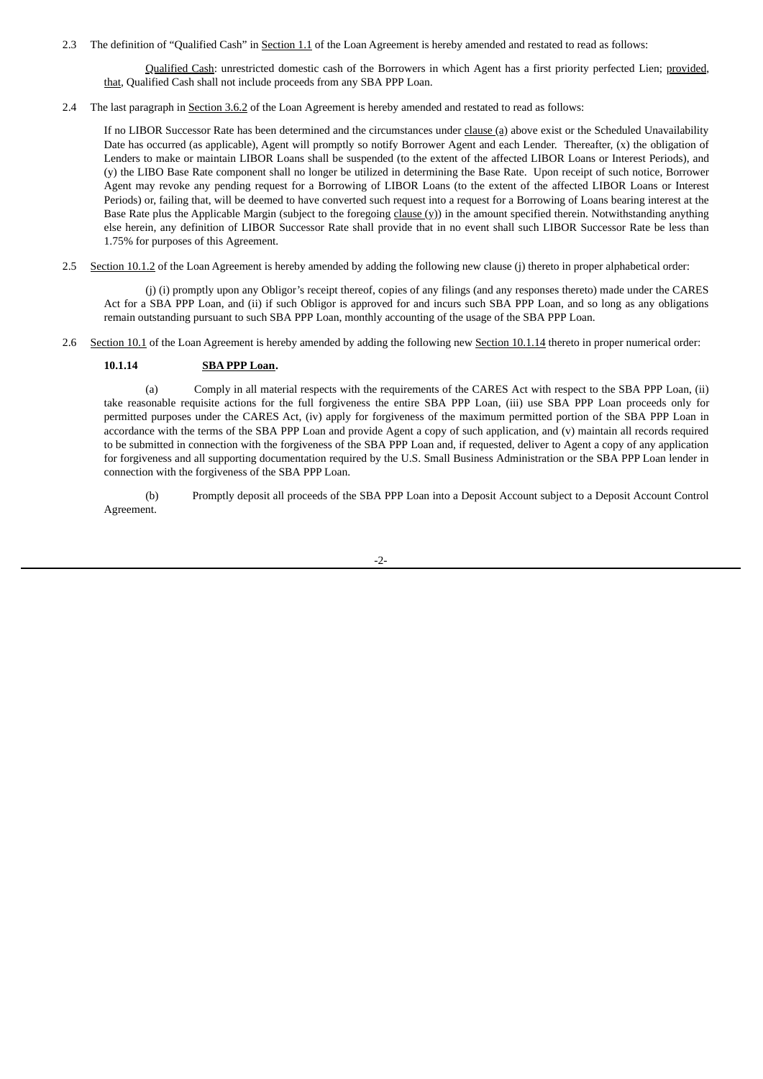2.3 The definition of "Qualified Cash" in Section 1.1 of the Loan Agreement is hereby amended and restated to read as follows:

Qualified Cash: unrestricted domestic cash of the Borrowers in which Agent has a first priority perfected Lien; provided, that, Qualified Cash shall not include proceeds from any SBA PPP Loan.

2.4 The last paragraph in Section 3.6.2 of the Loan Agreement is hereby amended and restated to read as follows:

If no LIBOR Successor Rate has been determined and the circumstances under clause (a) above exist or the Scheduled Unavailability Date has occurred (as applicable), Agent will promptly so notify Borrower Agent and each Lender. Thereafter, (x) the obligation of Lenders to make or maintain LIBOR Loans shall be suspended (to the extent of the affected LIBOR Loans or Interest Periods), and (y) the LIBO Base Rate component shall no longer be utilized in determining the Base Rate. Upon receipt of such notice, Borrower Agent may revoke any pending request for a Borrowing of LIBOR Loans (to the extent of the affected LIBOR Loans or Interest Periods) or, failing that, will be deemed to have converted such request into a request for a Borrowing of Loans bearing interest at the Base Rate plus the Applicable Margin (subject to the foregoing  $\text{clause}(y)$ ) in the amount specified therein. Notwithstanding anything else herein, any definition of LIBOR Successor Rate shall provide that in no event shall such LIBOR Successor Rate be less than 1.75% for purposes of this Agreement.

2.5 Section 10.1.2 of the Loan Agreement is hereby amended by adding the following new clause (j) thereto in proper alphabetical order:

(j) (i) promptly upon any Obligor's receipt thereof, copies of any filings (and any responses thereto) made under the CARES Act for a SBA PPP Loan, and (ii) if such Obligor is approved for and incurs such SBA PPP Loan, and so long as any obligations remain outstanding pursuant to such SBA PPP Loan, monthly accounting of the usage of the SBA PPP Loan.

2.6 Section 10.1 of the Loan Agreement is hereby amended by adding the following new Section 10.1.14 thereto in proper numerical order:

#### **10.1.14 SBA PPP Loan.**

(a) Comply in all material respects with the requirements of the CARES Act with respect to the SBA PPP Loan, (ii) take reasonable requisite actions for the full forgiveness the entire SBA PPP Loan, (iii) use SBA PPP Loan proceeds only for permitted purposes under the CARES Act, (iv) apply for forgiveness of the maximum permitted portion of the SBA PPP Loan in accordance with the terms of the SBA PPP Loan and provide Agent a copy of such application, and (v) maintain all records required to be submitted in connection with the forgiveness of the SBA PPP Loan and, if requested, deliver to Agent a copy of any application for forgiveness and all supporting documentation required by the U.S. Small Business Administration or the SBA PPP Loan lender in connection with the forgiveness of the SBA PPP Loan.

(b) Promptly deposit all proceeds of the SBA PPP Loan into a Deposit Account subject to a Deposit Account Control Agreement.

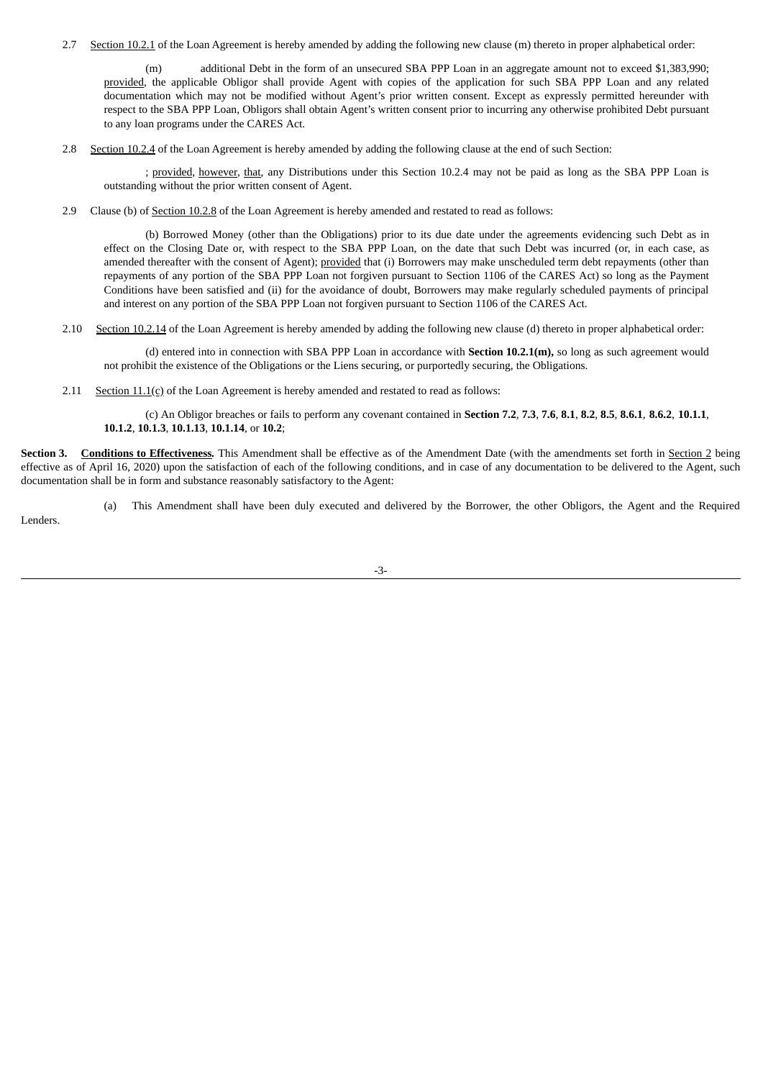2.7 Section 10.2.1 of the Loan Agreement is hereby amended by adding the following new clause (m) thereto in proper alphabetical order:

(m) additional Debt in the form of an unsecured SBA PPP Loan in an aggregate amount not to exceed \$1,383,990; provided, the applicable Obligor shall provide Agent with copies of the application for such SBA PPP Loan and any related documentation which may not be modified without Agent's prior written consent. Except as expressly permitted hereunder with respect to the SBA PPP Loan, Obligors shall obtain Agent's written consent prior to incurring any otherwise prohibited Debt pursuant to any loan programs under the CARES Act.

2.8 Section 10.2.4 of the Loan Agreement is hereby amended by adding the following clause at the end of such Section:

; provided, however, that, any Distributions under this Section 10.2.4 may not be paid as long as the SBA PPP Loan is outstanding without the prior written consent of Agent.

2.9 Clause (b) of <u>Section 10.2.8</u> of the Loan Agreement is hereby amended and restated to read as follows:

(b) Borrowed Money (other than the Obligations) prior to its due date under the agreements evidencing such Debt as in effect on the Closing Date or, with respect to the SBA PPP Loan, on the date that such Debt was incurred (or, in each case, as amended thereafter with the consent of Agent); provided that (i) Borrowers may make unscheduled term debt repayments (other than repayments of any portion of the SBA PPP Loan not forgiven pursuant to Section 1106 of the CARES Act) so long as the Payment Conditions have been satisfied and (ii) for the avoidance of doubt, Borrowers may make regularly scheduled payments of principal and interest on any portion of the SBA PPP Loan not forgiven pursuant to Section 1106 of the CARES Act.

2.10 Section 10.2.14 of the Loan Agreement is hereby amended by adding the following new clause (d) thereto in proper alphabetical order:

(d) entered into in connection with SBA PPP Loan in accordance with **Section 10.2.1(m),** so long as such agreement would not prohibit the existence of the Obligations or the Liens securing, or purportedly securing, the Obligations.

2.11 Section  $11.1(c)$  of the Loan Agreement is hereby amended and restated to read as follows:

Lenders.

(c) An Obligor breaches or fails to perform any covenant contained in **Section 7.2**, **7.3**, **7.6**, **8.1**, **8.2**, **8.5**, **8.6.1**, **8.6.2**, **10.1.1**, **10.1.2**, **10.1.3**, **10.1.13**, **10.1.14**, or **10.2**;

**Section 3. Conditions to Effectiveness***.* This Amendment shall be effective as of the Amendment Date (with the amendments set forth in Section 2 being effective as of April 16, 2020) upon the satisfaction of each of the following conditions, and in case of any documentation to be delivered to the Agent, such documentation shall be in form and substance reasonably satisfactory to the Agent:

(a) This Amendment shall have been duly executed and delivered by the Borrower, the other Obligors, the Agent and the Required

-3-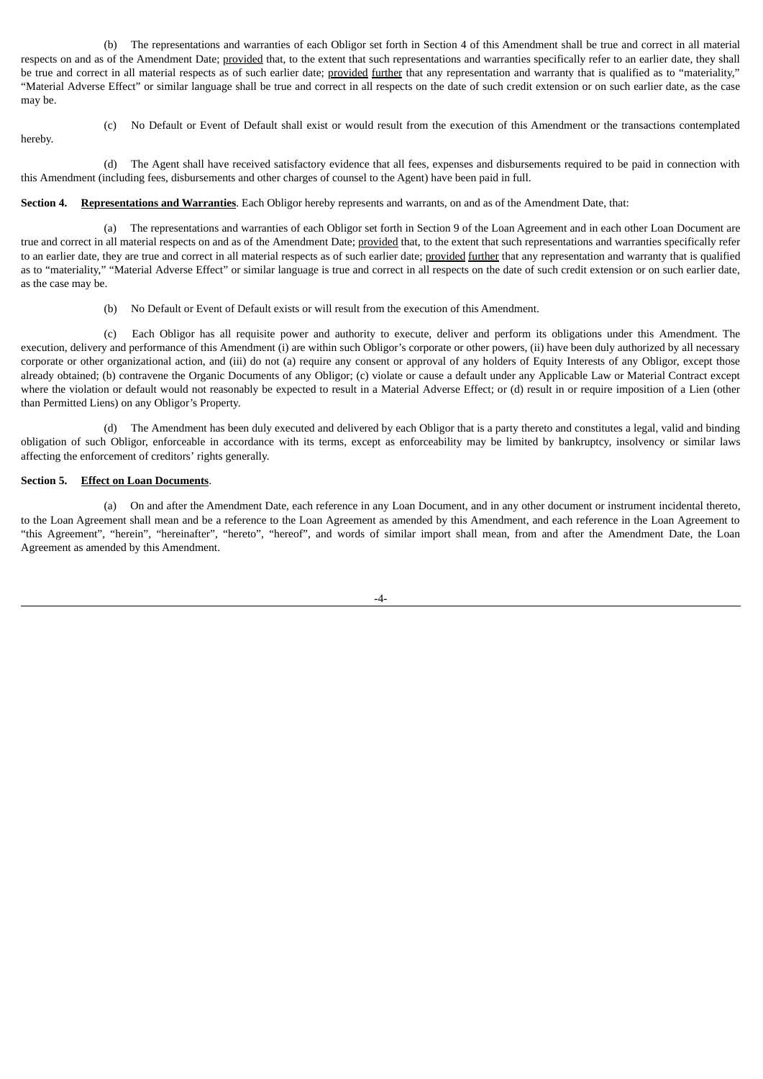(b) The representations and warranties of each Obligor set forth in Section 4 of this Amendment shall be true and correct in all material respects on and as of the Amendment Date; provided that, to the extent that such representations and warranties specifically refer to an earlier date, they shall be true and correct in all material respects as of such earlier date; provided further that any representation and warranty that is qualified as to "materiality," "Material Adverse Effect" or similar language shall be true and correct in all respects on the date of such credit extension or on such earlier date, as the case may be.

(c) No Default or Event of Default shall exist or would result from the execution of this Amendment or the transactions contemplated

hereby.

(d) The Agent shall have received satisfactory evidence that all fees, expenses and disbursements required to be paid in connection with this Amendment (including fees, disbursements and other charges of counsel to the Agent) have been paid in full.

#### **Section 4. Representations and Warranties**. Each Obligor hereby represents and warrants, on and as of the Amendment Date, that:

(a) The representations and warranties of each Obligor set forth in Section 9 of the Loan Agreement and in each other Loan Document are true and correct in all material respects on and as of the Amendment Date; provided that, to the extent that such representations and warranties specifically refer to an earlier date, they are true and correct in all material respects as of such earlier date; provided further that any representation and warranty that is qualified as to "materiality," "Material Adverse Effect" or similar language is true and correct in all respects on the date of such credit extension or on such earlier date, as the case may be.

(b) No Default or Event of Default exists or will result from the execution of this Amendment.

(c) Each Obligor has all requisite power and authority to execute, deliver and perform its obligations under this Amendment. The execution, delivery and performance of this Amendment (i) are within such Obligor's corporate or other powers, (ii) have been duly authorized by all necessary corporate or other organizational action, and (iii) do not (a) require any consent or approval of any holders of Equity Interests of any Obligor, except those already obtained; (b) contravene the Organic Documents of any Obligor; (c) violate or cause a default under any Applicable Law or Material Contract except where the violation or default would not reasonably be expected to result in a Material Adverse Effect; or (d) result in or require imposition of a Lien (other than Permitted Liens) on any Obligor's Property.

(d) The Amendment has been duly executed and delivered by each Obligor that is a party thereto and constitutes a legal, valid and binding obligation of such Obligor, enforceable in accordance with its terms, except as enforceability may be limited by bankruptcy, insolvency or similar laws affecting the enforcement of creditors' rights generally.

#### **Section 5. Effect on Loan Documents**.

(a) On and after the Amendment Date, each reference in any Loan Document, and in any other document or instrument incidental thereto, to the Loan Agreement shall mean and be a reference to the Loan Agreement as amended by this Amendment, and each reference in the Loan Agreement to "this Agreement", "herein", "hereinafter", "hereto", "hereof", and words of similar import shall mean, from and after the Amendment Date, the Loan Agreement as amended by this Amendment.

-4-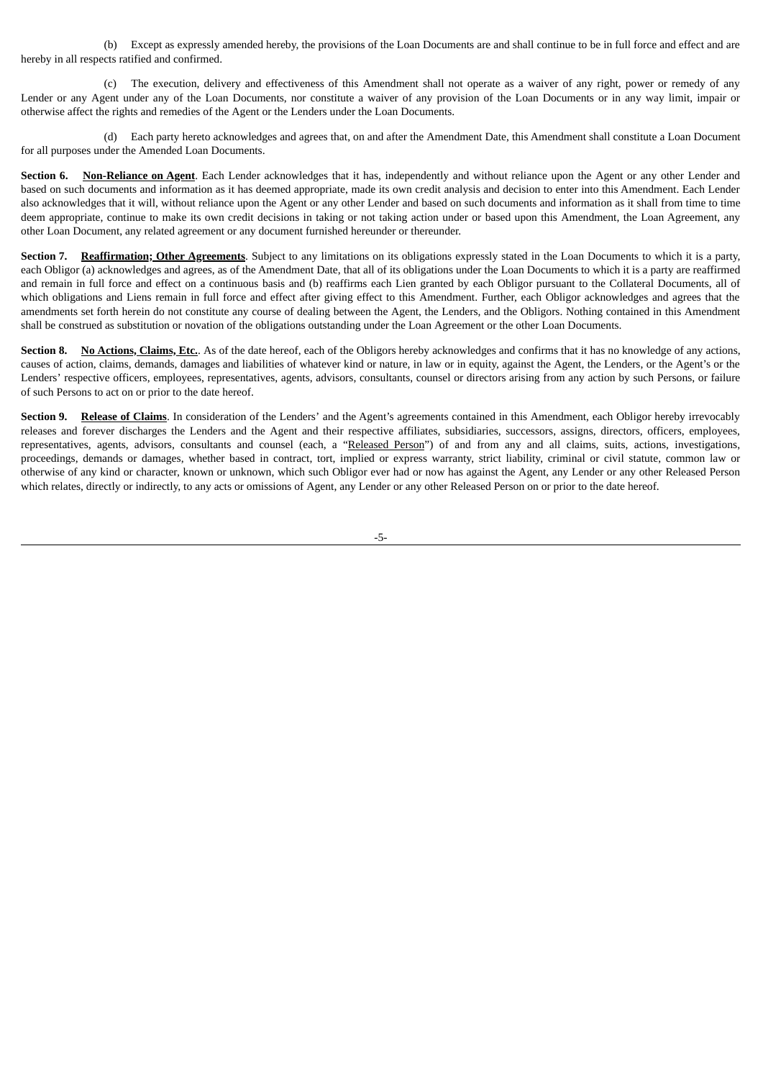(b) Except as expressly amended hereby, the provisions of the Loan Documents are and shall continue to be in full force and effect and are hereby in all respects ratified and confirmed.

(c) The execution, delivery and effectiveness of this Amendment shall not operate as a waiver of any right, power or remedy of any Lender or any Agent under any of the Loan Documents, nor constitute a waiver of any provision of the Loan Documents or in any way limit, impair or otherwise affect the rights and remedies of the Agent or the Lenders under the Loan Documents.

(d) Each party hereto acknowledges and agrees that, on and after the Amendment Date, this Amendment shall constitute a Loan Document for all purposes under the Amended Loan Documents.

**Section 6. Non-Reliance on Agent**. Each Lender acknowledges that it has, independently and without reliance upon the Agent or any other Lender and based on such documents and information as it has deemed appropriate, made its own credit analysis and decision to enter into this Amendment. Each Lender also acknowledges that it will, without reliance upon the Agent or any other Lender and based on such documents and information as it shall from time to time deem appropriate, continue to make its own credit decisions in taking or not taking action under or based upon this Amendment, the Loan Agreement, any other Loan Document, any related agreement or any document furnished hereunder or thereunder.

**Section 7. Reaffirmation; Other Agreements**. Subject to any limitations on its obligations expressly stated in the Loan Documents to which it is a party, each Obligor (a) acknowledges and agrees, as of the Amendment Date, that all of its obligations under the Loan Documents to which it is a party are reaffirmed and remain in full force and effect on a continuous basis and (b) reaffirms each Lien granted by each Obligor pursuant to the Collateral Documents, all of which obligations and Liens remain in full force and effect after giving effect to this Amendment. Further, each Obligor acknowledges and agrees that the amendments set forth herein do not constitute any course of dealing between the Agent, the Lenders, and the Obligors. Nothing contained in this Amendment shall be construed as substitution or novation of the obligations outstanding under the Loan Agreement or the other Loan Documents.

**Section 8. No Actions, Claims, Etc.**. As of the date hereof, each of the Obligors hereby acknowledges and confirms that it has no knowledge of any actions, causes of action, claims, demands, damages and liabilities of whatever kind or nature, in law or in equity, against the Agent, the Lenders, or the Agent's or the Lenders' respective officers, employees, representatives, agents, advisors, consultants, counsel or directors arising from any action by such Persons, or failure of such Persons to act on or prior to the date hereof.

**Section 9. Release of Claims**. In consideration of the Lenders' and the Agent's agreements contained in this Amendment, each Obligor hereby irrevocably releases and forever discharges the Lenders and the Agent and their respective affiliates, subsidiaries, successors, assigns, directors, officers, employees, representatives, agents, advisors, consultants and counsel (each, a "Released Person") of and from any and all claims, suits, actions, investigations, proceedings, demands or damages, whether based in contract, tort, implied or express warranty, strict liability, criminal or civil statute, common law or otherwise of any kind or character, known or unknown, which such Obligor ever had or now has against the Agent, any Lender or any other Released Person which relates, directly or indirectly, to any acts or omissions of Agent, any Lender or any other Released Person on or prior to the date hereof.

-5-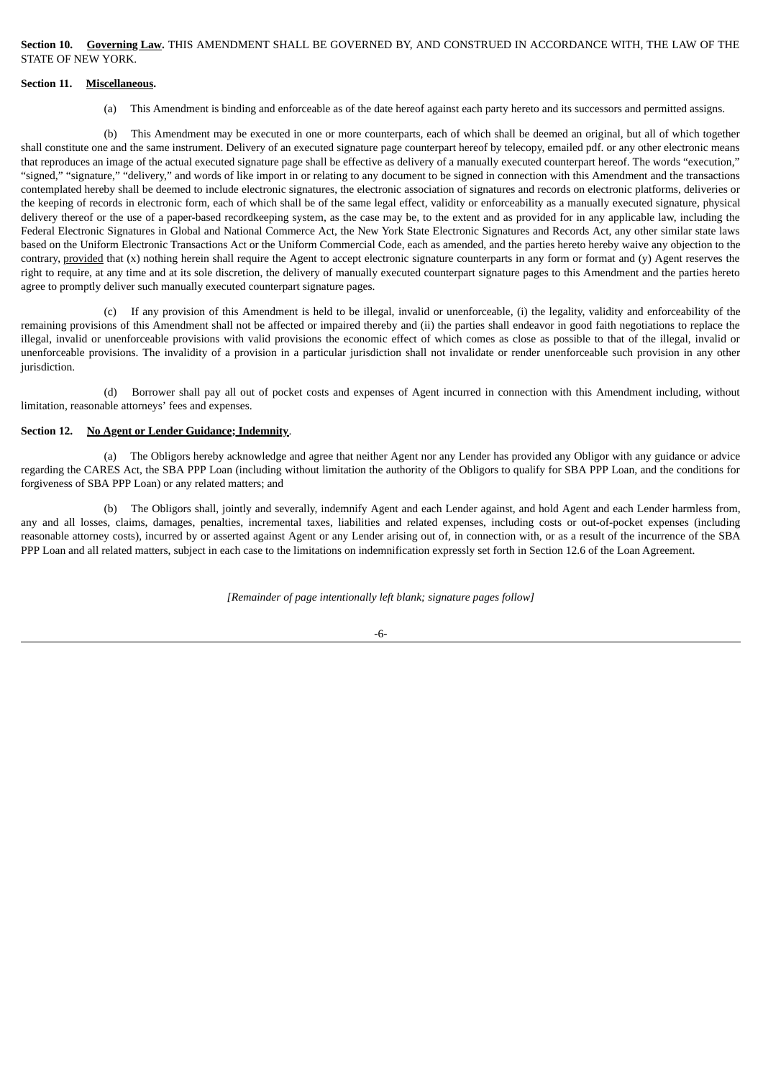**Section 10. Governing Law.** THIS AMENDMENT SHALL BE GOVERNED BY, AND CONSTRUED IN ACCORDANCE WITH, THE LAW OF THE STATE OF NEW YORK.

#### **Section 11. Miscellaneous.**

(a) This Amendment is binding and enforceable as of the date hereof against each party hereto and its successors and permitted assigns.

(b) This Amendment may be executed in one or more counterparts, each of which shall be deemed an original, but all of which together shall constitute one and the same instrument. Delivery of an executed signature page counterpart hereof by telecopy, emailed pdf. or any other electronic means that reproduces an image of the actual executed signature page shall be effective as delivery of a manually executed counterpart hereof. The words "execution," "signed," "signature," "delivery," and words of like import in or relating to any document to be signed in connection with this Amendment and the transactions contemplated hereby shall be deemed to include electronic signatures, the electronic association of signatures and records on electronic platforms, deliveries or the keeping of records in electronic form, each of which shall be of the same legal effect, validity or enforceability as a manually executed signature, physical delivery thereof or the use of a paper-based recordkeeping system, as the case may be, to the extent and as provided for in any applicable law, including the Federal Electronic Signatures in Global and National Commerce Act, the New York State Electronic Signatures and Records Act, any other similar state laws based on the Uniform Electronic Transactions Act or the Uniform Commercial Code, each as amended, and the parties hereto hereby waive any objection to the contrary, provided that (x) nothing herein shall require the Agent to accept electronic signature counterparts in any form or format and (y) Agent reserves the right to require, at any time and at its sole discretion, the delivery of manually executed counterpart signature pages to this Amendment and the parties hereto agree to promptly deliver such manually executed counterpart signature pages.

(c) If any provision of this Amendment is held to be illegal, invalid or unenforceable, (i) the legality, validity and enforceability of the remaining provisions of this Amendment shall not be affected or impaired thereby and (ii) the parties shall endeavor in good faith negotiations to replace the illegal, invalid or unenforceable provisions with valid provisions the economic effect of which comes as close as possible to that of the illegal, invalid or unenforceable provisions. The invalidity of a provision in a particular jurisdiction shall not invalidate or render unenforceable such provision in any other jurisdiction.

(d) Borrower shall pay all out of pocket costs and expenses of Agent incurred in connection with this Amendment including, without limitation, reasonable attorneys' fees and expenses.

#### **Section 12. No Agent or Lender Guidance; Indemnity**.

(a) The Obligors hereby acknowledge and agree that neither Agent nor any Lender has provided any Obligor with any guidance or advice regarding the CARES Act, the SBA PPP Loan (including without limitation the authority of the Obligors to qualify for SBA PPP Loan, and the conditions for forgiveness of SBA PPP Loan) or any related matters; and

(b) The Obligors shall, jointly and severally, indemnify Agent and each Lender against, and hold Agent and each Lender harmless from, any and all losses, claims, damages, penalties, incremental taxes, liabilities and related expenses, including costs or out-of-pocket expenses (including reasonable attorney costs), incurred by or asserted against Agent or any Lender arising out of, in connection with, or as a result of the incurrence of the SBA PPP Loan and all related matters, subject in each case to the limitations on indemnification expressly set forth in Section 12.6 of the Loan Agreement.

*[Remainder of page intentionally left blank; signature pages follow]*

-6-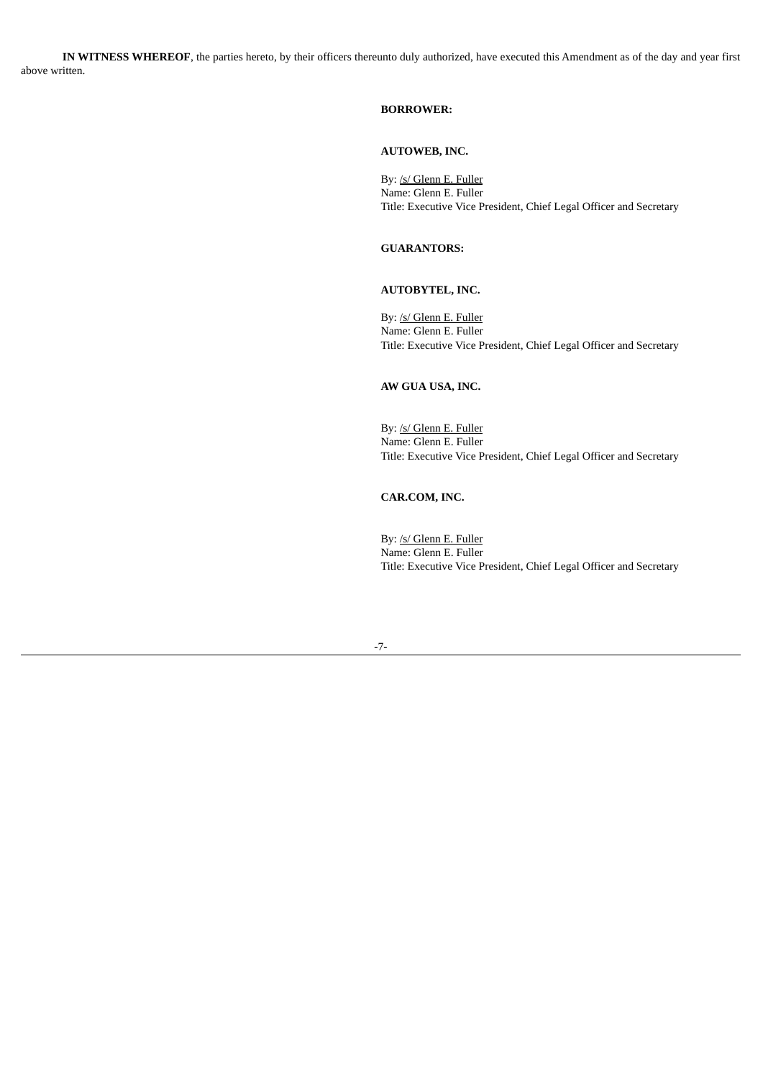**IN WITNESS WHEREOF**, the parties hereto, by their officers thereunto duly authorized, have executed this Amendment as of the day and year first above written.

## **BORROWER:**

#### **AUTOWEB, INC.**

By: /s/ Glenn E. Fuller Name: Glenn E. Fuller Title: Executive Vice President, Chief Legal Officer and Secretary

### **GUARANTORS:**

## **AUTOBYTEL, INC.**

By: /s/ Glenn E. Fuller Name: Glenn E. Fuller Title: Executive Vice President, Chief Legal Officer and Secretary

## **AW GUA USA, INC.**

By: /s/ Glenn E. Fuller Name: Glenn E. Fuller Title: Executive Vice President, Chief Legal Officer and Secretary

## **CAR.COM, INC.**

By: /s/ Glenn E. Fuller Name: Glenn E. Fuller Title: Executive Vice President, Chief Legal Officer and Secretary